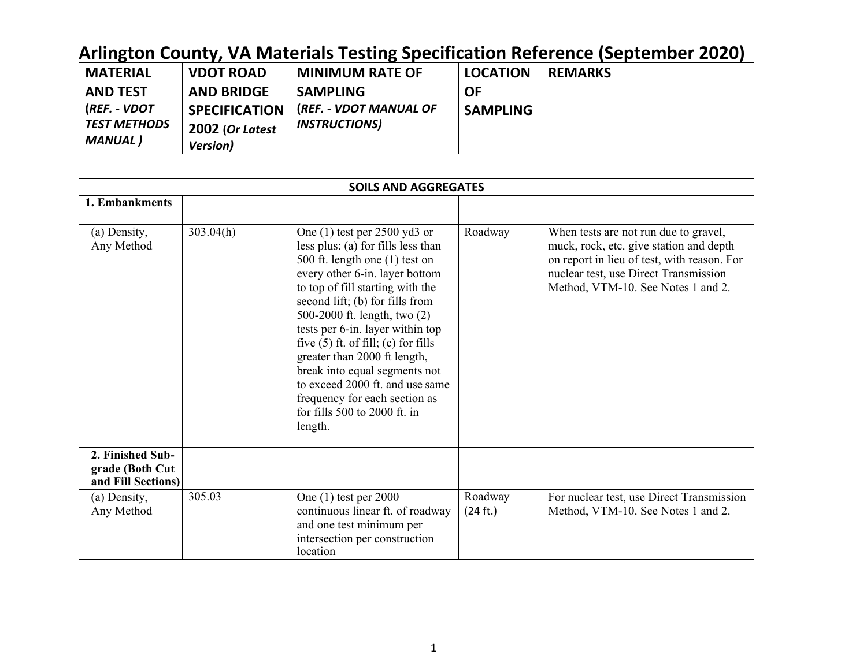| <b>MATERIAL</b>     | <b>VDOT ROAD</b>     | <b>MINIMUM RATE OF</b> | <b>LOCATION</b> | <b>REMARKS</b> |
|---------------------|----------------------|------------------------|-----------------|----------------|
| AND TEST            | <b>AND BRIDGE</b>    | <b>SAMPLING</b>        | ΟF              |                |
| (REF. - VDOT        | <b>SPECIFICATION</b> | (REF. - VDOT MANUAL OF | <b>SAMPLING</b> |                |
| <b>TEST METHODS</b> | 2002 (Or Latest      | <b>INSTRUCTIONS)</b>   |                 |                |
| MANUAL )            | <b>Version</b> )     |                        |                 |                |

|                                                           |           | <b>SOILS AND AGGREGATES</b>                                                                                                                                                                                                                                                                                                                                                                                                                                                                                        |                     |                                                                                                                                                                                                                |
|-----------------------------------------------------------|-----------|--------------------------------------------------------------------------------------------------------------------------------------------------------------------------------------------------------------------------------------------------------------------------------------------------------------------------------------------------------------------------------------------------------------------------------------------------------------------------------------------------------------------|---------------------|----------------------------------------------------------------------------------------------------------------------------------------------------------------------------------------------------------------|
| 1. Embankments                                            |           |                                                                                                                                                                                                                                                                                                                                                                                                                                                                                                                    |                     |                                                                                                                                                                                                                |
| (a) Density,<br>Any Method                                | 303.04(h) | One $(1)$ test per 2500 yd3 or<br>less plus: (a) for fills less than<br>500 ft. length one (1) test on<br>every other 6-in. layer bottom<br>to top of fill starting with the<br>second lift; (b) for fills from<br>500-2000 ft. length, two (2)<br>tests per 6-in. layer within top<br>five $(5)$ ft. of fill; $(c)$ for fills<br>greater than 2000 ft length,<br>break into equal segments not<br>to exceed 2000 ft. and use same<br>frequency for each section as<br>for fills $500$ to $2000$ ft. in<br>length. | Roadway             | When tests are not run due to gravel,<br>muck, rock, etc. give station and depth<br>on report in lieu of test, with reason. For<br>nuclear test, use Direct Transmission<br>Method, VTM-10. See Notes 1 and 2. |
| 2. Finished Sub-<br>grade (Both Cut<br>and Fill Sections) |           |                                                                                                                                                                                                                                                                                                                                                                                                                                                                                                                    |                     |                                                                                                                                                                                                                |
| (a) Density,<br>Any Method                                | 305.03    | One $(1)$ test per 2000<br>continuous linear ft. of roadway<br>and one test minimum per<br>intersection per construction<br>location                                                                                                                                                                                                                                                                                                                                                                               | Roadway<br>(24 ft.) | For nuclear test, use Direct Transmission<br>Method, VTM-10. See Notes 1 and 2.                                                                                                                                |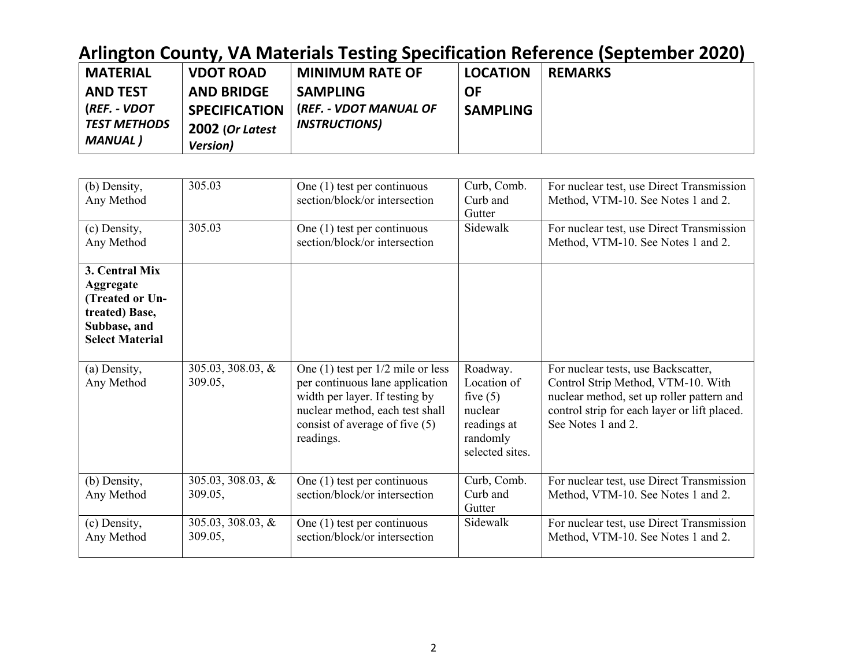| <b>MATERIAL</b>     | <b>VDOT ROAD</b>     | <b>MINIMUM RATE OF</b> | <b>LOCATION</b> | <b>REMARKS</b> |
|---------------------|----------------------|------------------------|-----------------|----------------|
| <b>AND TEST</b>     | <b>AND BRIDGE</b>    | <b>SAMPLING</b>        | <b>OF</b>       |                |
| (REF. - VDOT        | <b>SPECIFICATION</b> | (REF. - VDOT MANUAL OF | <b>SAMPLING</b> |                |
| <b>TEST METHODS</b> | 2002 (Or Latest      | <b>INSTRUCTIONS)</b>   |                 |                |
| <b>MANUAL</b> )     | <b>Version</b> )     |                        |                 |                |

| (b) Density,<br>Any Method<br>(c) Density,                                                                 | 305.03<br>305.03                | One $(1)$ test per continuous<br>section/block/or intersection<br>One $(1)$ test per continuous                                                                                              | Curb, Comb.<br>Curb and<br>Gutter<br>Sidewalk                                                  | For nuclear test, use Direct Transmission<br>Method, VTM-10. See Notes 1 and 2.<br>For nuclear test, use Direct Transmission                                                                 |
|------------------------------------------------------------------------------------------------------------|---------------------------------|----------------------------------------------------------------------------------------------------------------------------------------------------------------------------------------------|------------------------------------------------------------------------------------------------|----------------------------------------------------------------------------------------------------------------------------------------------------------------------------------------------|
| Any Method                                                                                                 |                                 | section/block/or intersection                                                                                                                                                                |                                                                                                | Method, VTM-10. See Notes 1 and 2.                                                                                                                                                           |
| 3. Central Mix<br>Aggregate<br>(Treated or Un-<br>treated) Base,<br>Subbase, and<br><b>Select Material</b> |                                 |                                                                                                                                                                                              |                                                                                                |                                                                                                                                                                                              |
| (a) Density,<br>Any Method                                                                                 | $305.03, 308.03, \&$<br>309.05, | One $(1)$ test per $1/2$ mile or less<br>per continuous lane application<br>width per layer. If testing by<br>nuclear method, each test shall<br>consist of average of five (5)<br>readings. | Roadway.<br>Location of<br>five $(5)$<br>nuclear<br>readings at<br>randomly<br>selected sites. | For nuclear tests, use Backscatter,<br>Control Strip Method, VTM-10. With<br>nuclear method, set up roller pattern and<br>control strip for each layer or lift placed.<br>See Notes 1 and 2. |
| (b) Density,<br>Any Method                                                                                 | $305.03, 308.03, \&$<br>309.05, | One $(1)$ test per continuous<br>section/block/or intersection                                                                                                                               | Curb, Comb.<br>Curb and<br>Gutter                                                              | For nuclear test, use Direct Transmission<br>Method, VTM-10. See Notes 1 and 2.                                                                                                              |
| (c) Density,<br>Any Method                                                                                 | $305.03, 308.03, \&$<br>309.05, | One $(1)$ test per continuous<br>section/block/or intersection                                                                                                                               | Sidewalk                                                                                       | For nuclear test, use Direct Transmission<br>Method, VTM-10. See Notes 1 and 2.                                                                                                              |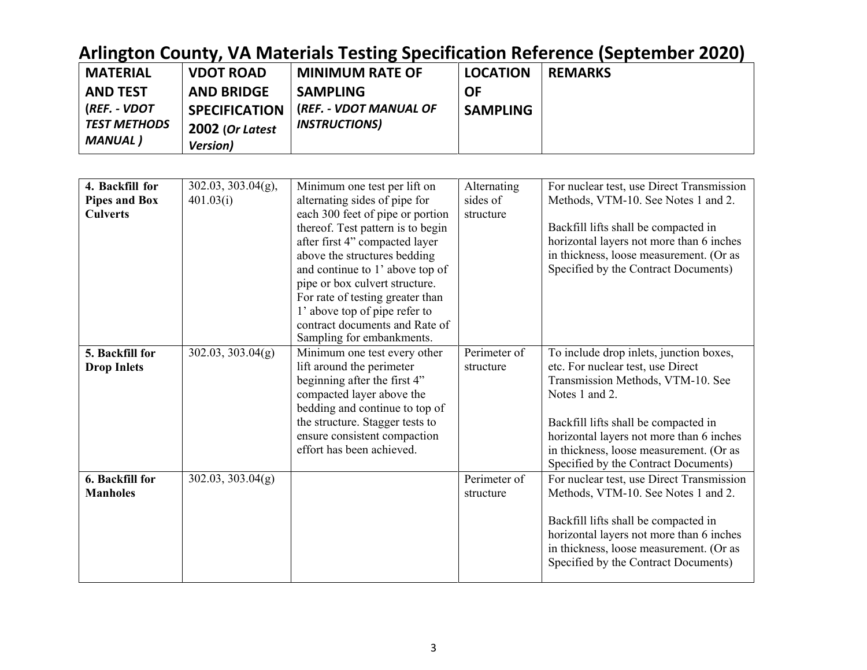| <b>MATERIAL</b> | <b>VDOT ROAD</b>     | <b>MINIMUM RATE OF</b> | <b>LOCATION</b> | <b>REMARKS</b> |
|-----------------|----------------------|------------------------|-----------------|----------------|
| <b>AND TEST</b> | <b>AND BRIDGE</b>    | <b>SAMPLING</b>        | <b>OF</b>       |                |
| (REF. - VDOT    | <b>SPECIFICATION</b> | (REF. - VDOT MANUAL OF | <b>SAMPLING</b> |                |
| TEST METHODS    | 2002 (Or Latest      | <b>INSTRUCTIONS</b>    |                 |                |
| MANUAL)         | <b>Version</b> )     |                        |                 |                |

| 4. Backfill for      | $302.03, 303.04(g)$ , | Minimum one test per lift on      | Alternating  | For nuclear test, use Direct Transmission |
|----------------------|-----------------------|-----------------------------------|--------------|-------------------------------------------|
| <b>Pipes and Box</b> | 401.03(i)             | alternating sides of pipe for     | sides of     | Methods, VTM-10. See Notes 1 and 2.       |
| <b>Culverts</b>      |                       | each 300 feet of pipe or portion  | structure    |                                           |
|                      |                       | thereof. Test pattern is to begin |              | Backfill lifts shall be compacted in      |
|                      |                       | after first 4" compacted layer    |              | horizontal layers not more than 6 inches  |
|                      |                       | above the structures bedding      |              | in thickness, loose measurement. (Or as   |
|                      |                       | and continue to 1' above top of   |              | Specified by the Contract Documents)      |
|                      |                       | pipe or box culvert structure.    |              |                                           |
|                      |                       | For rate of testing greater than  |              |                                           |
|                      |                       | 1' above top of pipe refer to     |              |                                           |
|                      |                       | contract documents and Rate of    |              |                                           |
|                      |                       | Sampling for embankments.         |              |                                           |
| 5. Backfill for      | 302.03, 303.04(g)     | Minimum one test every other      | Perimeter of | To include drop inlets, junction boxes,   |
| <b>Drop Inlets</b>   |                       | lift around the perimeter         | structure    | etc. For nuclear test, use Direct         |
|                      |                       | beginning after the first 4"      |              | Transmission Methods, VTM-10. See         |
|                      |                       | compacted layer above the         |              | Notes 1 and 2.                            |
|                      |                       | bedding and continue to top of    |              |                                           |
|                      |                       | the structure. Stagger tests to   |              | Backfill lifts shall be compacted in      |
|                      |                       | ensure consistent compaction      |              | horizontal layers not more than 6 inches  |
|                      |                       | effort has been achieved.         |              | in thickness, loose measurement. (Or as   |
|                      |                       |                                   |              | Specified by the Contract Documents)      |
| 6. Backfill for      | 302.03, 303.04(g)     |                                   | Perimeter of | For nuclear test, use Direct Transmission |
| <b>Manholes</b>      |                       |                                   | structure    | Methods, VTM-10. See Notes 1 and 2.       |
|                      |                       |                                   |              |                                           |
|                      |                       |                                   |              | Backfill lifts shall be compacted in      |
|                      |                       |                                   |              | horizontal layers not more than 6 inches  |
|                      |                       |                                   |              | in thickness, loose measurement. (Or as   |
|                      |                       |                                   |              | Specified by the Contract Documents)      |
|                      |                       |                                   |              |                                           |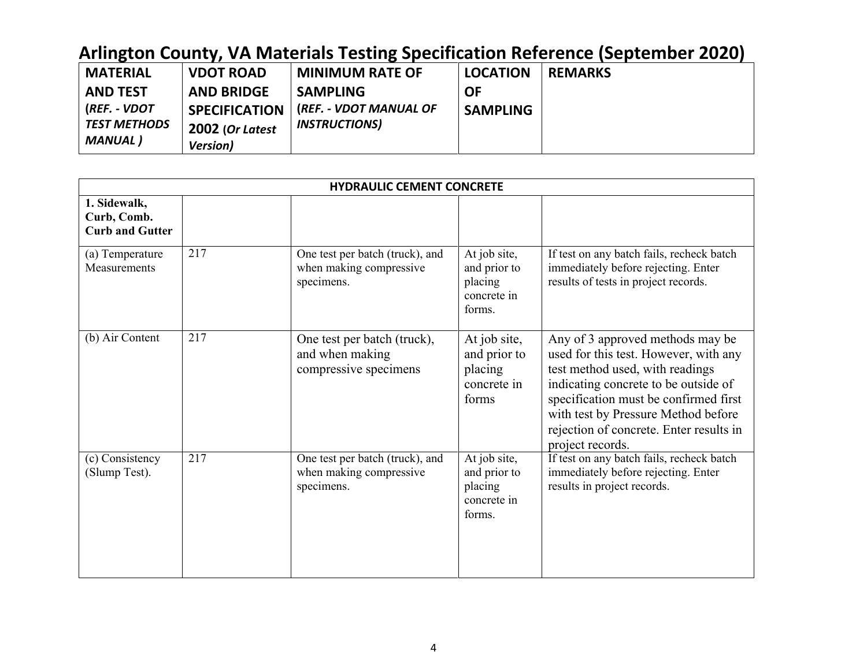| <b>MATERIAL</b>     | <b>VDOT ROAD</b>     | <b>MINIMUM RATE OF</b>        | <b>LOCATION</b> | <b>REMARKS</b> |
|---------------------|----------------------|-------------------------------|-----------------|----------------|
| <b>AND TEST</b>     | <b>AND BRIDGE</b>    | <b>SAMPLING</b>               | <b>OF</b>       |                |
| (REF. - VDOT        | <b>SPECIFICATION</b> | <b>(REF. - VDOT MANUAL OF</b> | <b>SAMPLING</b> |                |
| <b>TEST METHODS</b> | 2002 (Or Latest      | <b>INSTRUCTIONS)</b>          |                 |                |
| MANUAL )            | <b>Version</b> )     |                               |                 |                |

|                                                       |     | <b>HYDRAULIC CEMENT CONCRETE</b>                                         |                                                                  |                                                                                                                                                                                                                                                                                                     |
|-------------------------------------------------------|-----|--------------------------------------------------------------------------|------------------------------------------------------------------|-----------------------------------------------------------------------------------------------------------------------------------------------------------------------------------------------------------------------------------------------------------------------------------------------------|
| 1. Sidewalk,<br>Curb, Comb.<br><b>Curb and Gutter</b> |     |                                                                          |                                                                  |                                                                                                                                                                                                                                                                                                     |
| (a) Temperature<br>Measurements                       | 217 | One test per batch (truck), and<br>when making compressive<br>specimens. | At job site,<br>and prior to<br>placing<br>concrete in<br>forms. | If test on any batch fails, recheck batch<br>immediately before rejecting. Enter<br>results of tests in project records.                                                                                                                                                                            |
| (b) Air Content                                       | 217 | One test per batch (truck),<br>and when making<br>compressive specimens  | At job site,<br>and prior to<br>placing<br>concrete in<br>forms  | Any of 3 approved methods may be<br>used for this test. However, with any<br>test method used, with readings<br>indicating concrete to be outside of<br>specification must be confirmed first<br>with test by Pressure Method before<br>rejection of concrete. Enter results in<br>project records. |
| (c) Consistency<br>(Slump Test).                      | 217 | One test per batch (truck), and<br>when making compressive<br>specimens. | At job site,<br>and prior to<br>placing<br>concrete in<br>forms. | If test on any batch fails, recheck batch<br>immediately before rejecting. Enter<br>results in project records.                                                                                                                                                                                     |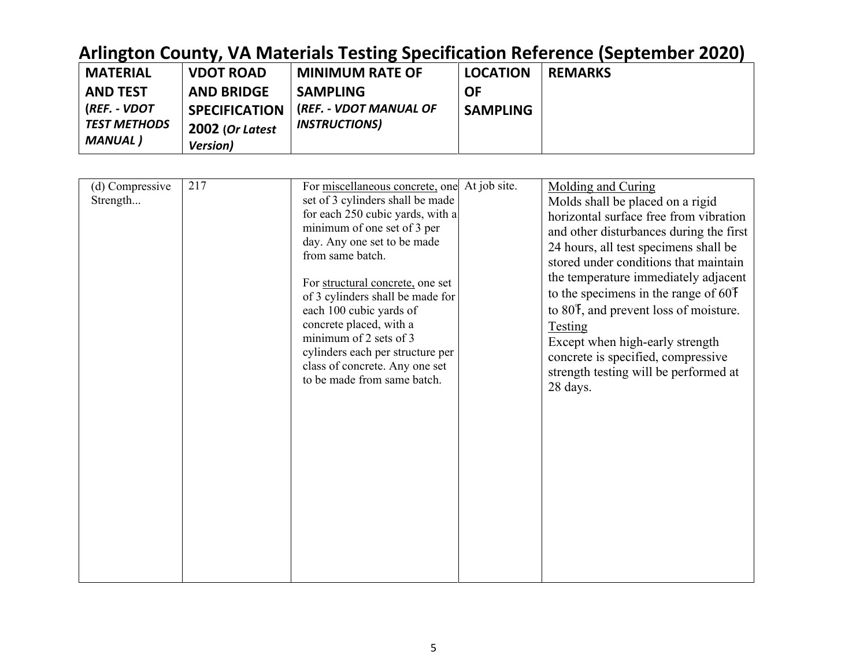| <b>MATERIAL</b>     | <b>VDOT ROAD</b>     | <b>MINIMUM RATE OF</b> | <b>LOCATION</b> | <b>REMARKS</b> |
|---------------------|----------------------|------------------------|-----------------|----------------|
| <b>AND TEST</b>     | <b>AND BRIDGE</b>    | <b>SAMPLING</b>        | OF              |                |
| (REF. - VDOT        | <b>SPECIFICATION</b> | (REF. - VDOT MANUAL OF | <b>SAMPLING</b> |                |
| <b>TEST METHODS</b> | 2002 (Or Latest      | <b>INSTRUCTIONS</b>    |                 |                |
| MANUAL )            | <b>Version</b> )     |                        |                 |                |

| (d) Compressive<br>Strength | 217 | For miscellaneous concrete, one At job site.<br>set of 3 cylinders shall be made<br>for each 250 cubic yards, with a<br>minimum of one set of 3 per<br>day. Any one set to be made<br>from same batch.<br>For structural concrete, one set<br>of 3 cylinders shall be made for<br>each 100 cubic yards of<br>concrete placed, with a<br>minimum of 2 sets of 3<br>cylinders each per structure per<br>class of concrete. Any one set<br>to be made from same batch. | Molding and Curing<br>Molds shall be placed on a rigid<br>horizontal surface free from vibration<br>and other disturbances during the first<br>24 hours, all test specimens shall be<br>stored under conditions that maintain<br>the temperature immediately adjacent<br>to the specimens in the range of $60°$<br>to 80 <sup>°</sup> , and prevent loss of moisture.<br><b>Testing</b><br>Except when high-early strength<br>concrete is specified, compressive<br>strength testing will be performed at<br>28 days. |
|-----------------------------|-----|---------------------------------------------------------------------------------------------------------------------------------------------------------------------------------------------------------------------------------------------------------------------------------------------------------------------------------------------------------------------------------------------------------------------------------------------------------------------|-----------------------------------------------------------------------------------------------------------------------------------------------------------------------------------------------------------------------------------------------------------------------------------------------------------------------------------------------------------------------------------------------------------------------------------------------------------------------------------------------------------------------|
|                             |     |                                                                                                                                                                                                                                                                                                                                                                                                                                                                     |                                                                                                                                                                                                                                                                                                                                                                                                                                                                                                                       |
|                             |     |                                                                                                                                                                                                                                                                                                                                                                                                                                                                     |                                                                                                                                                                                                                                                                                                                                                                                                                                                                                                                       |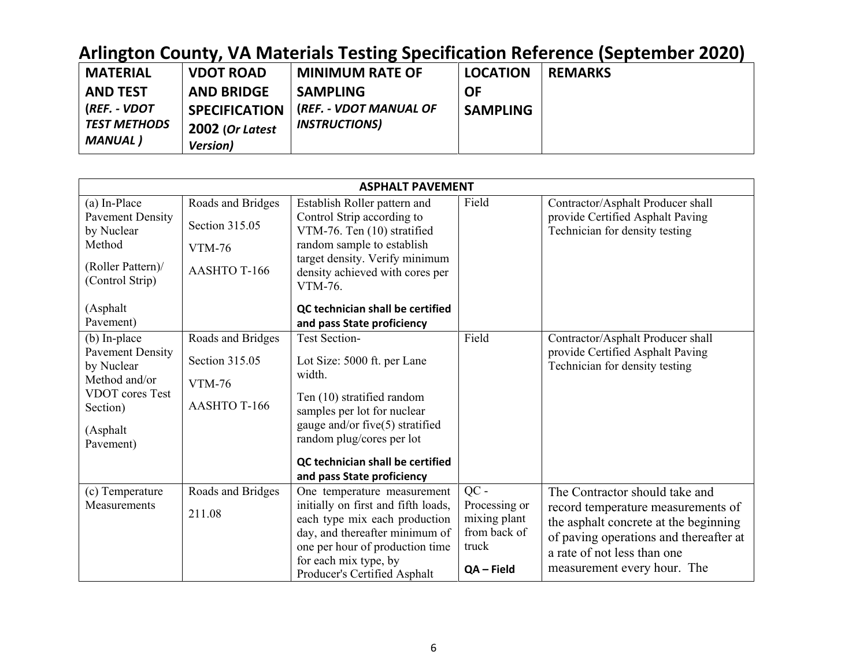| <b>MATERIAL</b>     | <b>VDOT ROAD</b>     | <b>MINIMUM RATE OF</b> | <b>LOCATION</b> | <b>REMARKS</b> |
|---------------------|----------------------|------------------------|-----------------|----------------|
| <b>AND TEST</b>     | <b>AND BRIDGE</b>    | <b>SAMPLING</b>        | <b>OF</b>       |                |
| (REF. - VDOT        | <b>SPECIFICATION</b> | (REF. - VDOT MANUAL OF | <b>SAMPLING</b> |                |
| <b>TEST METHODS</b> | 2002 (Or Latest      | <b>INSTRUCTIONS)</b>   |                 |                |
| MANUAL )            | <b>Version</b> )     |                        |                 |                |

|                                                                                                                                   |                                                                      | <b>ASPHALT PAVEMENT</b>                                                                                                                                                                                                                                                   |                                                                                |                                                                                                                                                                                                                       |
|-----------------------------------------------------------------------------------------------------------------------------------|----------------------------------------------------------------------|---------------------------------------------------------------------------------------------------------------------------------------------------------------------------------------------------------------------------------------------------------------------------|--------------------------------------------------------------------------------|-----------------------------------------------------------------------------------------------------------------------------------------------------------------------------------------------------------------------|
| (a) In-Place<br><b>Pavement Density</b><br>by Nuclear<br>Method<br>(Roller Pattern)/<br>(Control Strip)<br>(Asphalt)<br>Pavement) | Roads and Bridges<br>Section 315.05<br><b>VTM-76</b><br>AASHTO T-166 | Establish Roller pattern and<br>Control Strip according to<br>VTM-76. Ten (10) stratified<br>random sample to establish<br>target density. Verify minimum<br>density achieved with cores per<br>VTM-76.<br>QC technician shall be certified<br>and pass State proficiency | Field                                                                          | Contractor/Asphalt Producer shall<br>provide Certified Asphalt Paving<br>Technician for density testing                                                                                                               |
| (b) In-place<br><b>Pavement Density</b><br>by Nuclear<br>Method and/or<br>VDOT cores Test<br>Section)<br>(Asphalt<br>Pavement)    | Roads and Bridges<br>Section 315.05<br><b>VTM-76</b><br>AASHTO T-166 | <b>Test Section-</b><br>Lot Size: 5000 ft. per Lane<br>width.<br>Ten (10) stratified random<br>samples per lot for nuclear<br>gauge and/or five(5) stratified<br>random plug/cores per lot<br>QC technician shall be certified<br>and pass State proficiency              | Field                                                                          | Contractor/Asphalt Producer shall<br>provide Certified Asphalt Paving<br>Technician for density testing                                                                                                               |
| (c) Temperature<br>Measurements                                                                                                   | Roads and Bridges<br>211.08                                          | One temperature measurement<br>initially on first and fifth loads,<br>each type mix each production<br>day, and thereafter minimum of<br>one per hour of production time<br>for each mix type, by<br>Producer's Certified Asphalt                                         | $QC -$<br>Processing or<br>mixing plant<br>from back of<br>truck<br>QA - Field | The Contractor should take and<br>record temperature measurements of<br>the asphalt concrete at the beginning<br>of paving operations and thereafter at<br>a rate of not less than one<br>measurement every hour. The |